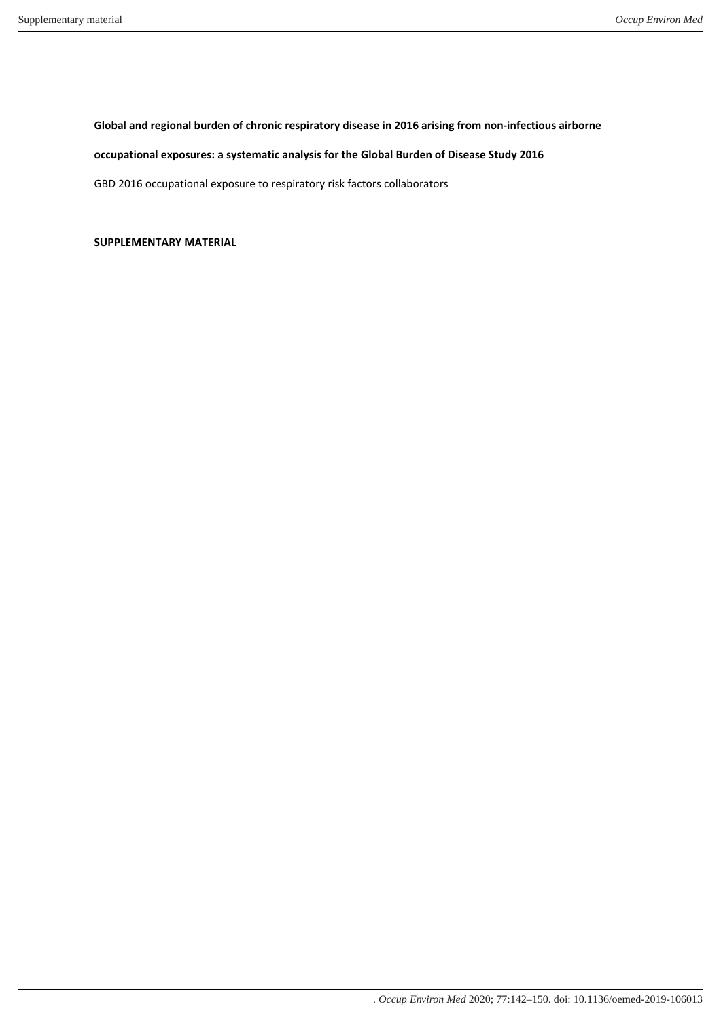**Global and regional burden of chronic respiratory disease in 2016 arising from non-infectious airborne** 

# **occupational exposures: a systematic analysis for the Global Burden of Disease Study 2016**

GBD 2016 occupational exposure to respiratory risk factors collaborators

**SUPPLEMENTARY MATERIAL**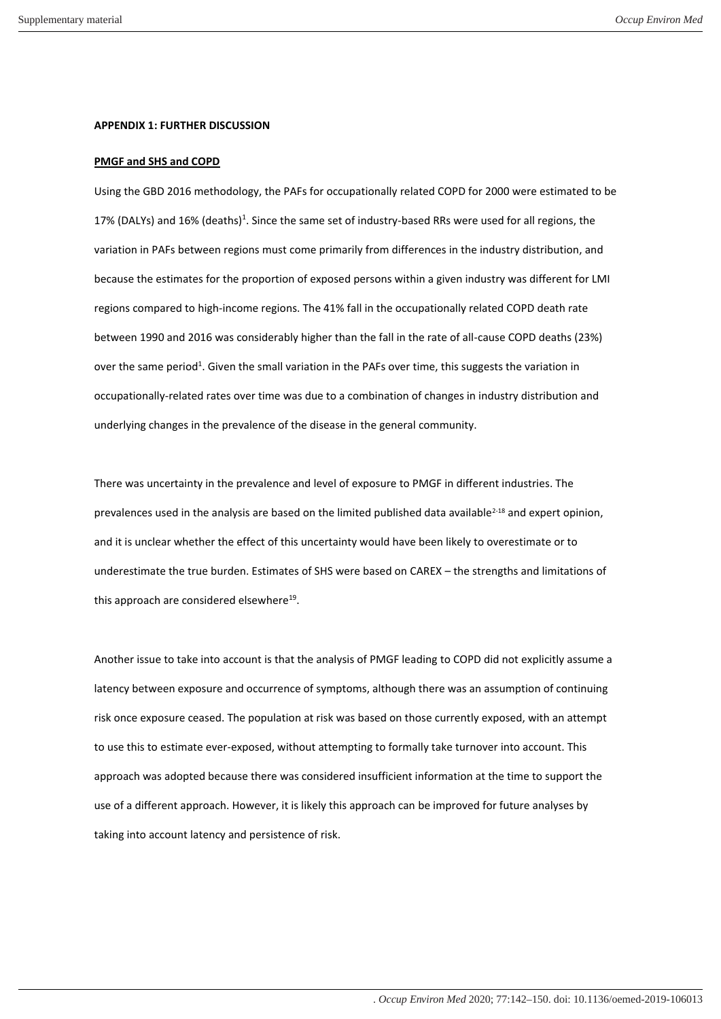#### **APPENDIX 1: FURTHER DISCUSSION**

#### **PMGF and SHS and COPD**

Using the GBD 2016 methodology, the PAFs for occupationally related COPD for 2000 were estimated to be 17% (DALYs) and 16% (deaths)<sup>1</sup>. Since the same set of industry-based RRs were used for all regions, the variation in PAFs between regions must come primarily from differences in the industry distribution, and because the estimates for the proportion of exposed persons within a given industry was different for LMI regions compared to high-income regions. The 41% fall in the occupationally related COPD death rate between 1990 and 2016 was considerably higher than the fall in the rate of all-cause COPD deaths (23%) over the same period<sup>1</sup>. Given the small variation in the PAFs over time, this suggests the variation in occupationally-related rates over time was due to a combination of changes in industry distribution and underlying changes in the prevalence of the disease in the general community.

There was uncertainty in the prevalence and level of exposure to PMGF in different industries. The prevalences used in the analysis are based on the limited published data available<sup>2-18</sup> and expert opinion, and it is unclear whether the effect of this uncertainty would have been likely to overestimate or to underestimate the true burden. Estimates of SHS were based on CAREX – the strengths and limitations of this approach are considered elsewhere $^{19}$ .

Another issue to take into account is that the analysis of PMGF leading to COPD did not explicitly assume a latency between exposure and occurrence of symptoms, although there was an assumption of continuing risk once exposure ceased. The population at risk was based on those currently exposed, with an attempt to use this to estimate ever-exposed, without attempting to formally take turnover into account. This approach was adopted because there was considered insufficient information at the time to support the use of a different approach. However, it is likely this approach can be improved for future analyses by taking into account latency and persistence of risk.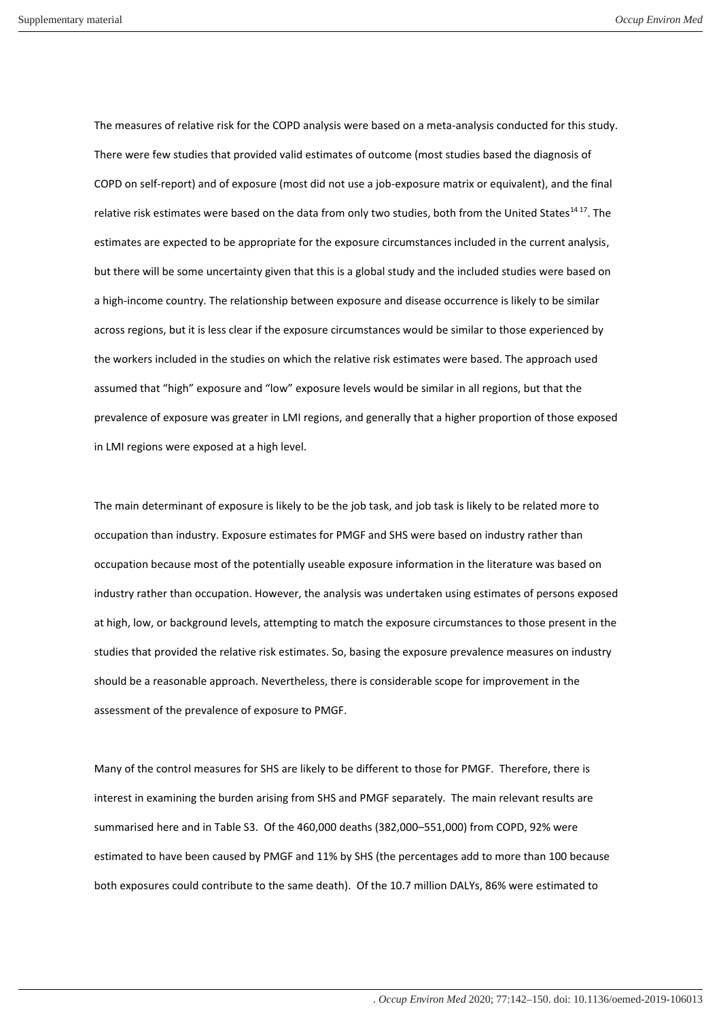The measures of relative risk for the COPD analysis were based on a meta-analysis conducted for this study. There were few studies that provided valid estimates of outcome (most studies based the diagnosis of COPD on self-report) and of exposure (most did not use a job-exposure matrix or equivalent), and the final relative risk estimates were based on the data from only two studies, both from the United States<sup>1417</sup>. The estimates are expected to be appropriate for the exposure circumstances included in the current analysis, but there will be some uncertainty given that this is a global study and the included studies were based on a high-income country. The relationship between exposure and disease occurrence is likely to be similar across regions, but it is less clear if the exposure circumstances would be similar to those experienced by the workers included in the studies on which the relative risk estimates were based. The approach used assumed that "high" exposure and "low" exposure levels would be similar in all regions, but that the prevalence of exposure was greater in LMI regions, and generally that a higher proportion of those exposed in LMI regions were exposed at a high level.

The main determinant of exposure is likely to be the job task, and job task is likely to be related more to occupation than industry. Exposure estimates for PMGF and SHS were based on industry rather than occupation because most of the potentially useable exposure information in the literature was based on industry rather than occupation. However, the analysis was undertaken using estimates of persons exposed at high, low, or background levels, attempting to match the exposure circumstances to those present in the studies that provided the relative risk estimates. So, basing the exposure prevalence measures on industry should be a reasonable approach. Nevertheless, there is considerable scope for improvement in the assessment of the prevalence of exposure to PMGF.

Many of the control measures for SHS are likely to be different to those for PMGF. Therefore, there is interest in examining the burden arising from SHS and PMGF separately. The main relevant results are summarised here and in Table S3. Of the 460,000 deaths (382,000–551,000) from COPD, 92% were estimated to have been caused by PMGF and 11% by SHS (the percentages add to more than 100 because both exposures could contribute to the same death). Of the 10.7 million DALYs, 86% were estimated to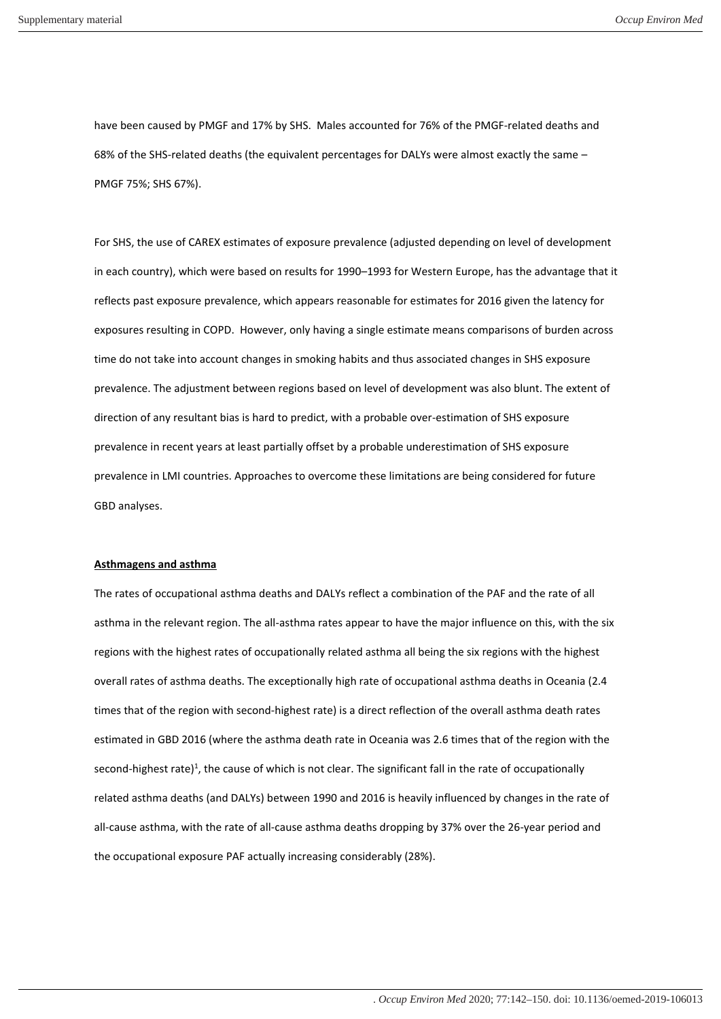have been caused by PMGF and 17% by SHS. Males accounted for 76% of the PMGF-related deaths and 68% of the SHS-related deaths (the equivalent percentages for DALYs were almost exactly the same – PMGF 75%; SHS 67%).

For SHS, the use of CAREX estimates of exposure prevalence (adjusted depending on level of development in each country), which were based on results for 1990–1993 for Western Europe, has the advantage that it reflects past exposure prevalence, which appears reasonable for estimates for 2016 given the latency for exposures resulting in COPD. However, only having a single estimate means comparisons of burden across time do not take into account changes in smoking habits and thus associated changes in SHS exposure prevalence. The adjustment between regions based on level of development was also blunt. The extent of direction of any resultant bias is hard to predict, with a probable over-estimation of SHS exposure prevalence in recent years at least partially offset by a probable underestimation of SHS exposure prevalence in LMI countries. Approaches to overcome these limitations are being considered for future GBD analyses.

#### **Asthmagens and asthma**

The rates of occupational asthma deaths and DALYs reflect a combination of the PAF and the rate of all asthma in the relevant region. The all-asthma rates appear to have the major influence on this, with the six regions with the highest rates of occupationally related asthma all being the six regions with the highest overall rates of asthma deaths. The exceptionally high rate of occupational asthma deaths in Oceania (2.4 times that of the region with second-highest rate) is a direct reflection of the overall asthma death rates estimated in GBD 2016 (where the asthma death rate in Oceania was 2.6 times that of the region with the second-highest rate)<sup>1</sup>, the cause of which is not clear. The significant fall in the rate of occupationally related asthma deaths (and DALYs) between 1990 and 2016 is heavily influenced by changes in the rate of all-cause asthma, with the rate of all-cause asthma deaths dropping by 37% over the 26-year period and the occupational exposure PAF actually increasing considerably (28%).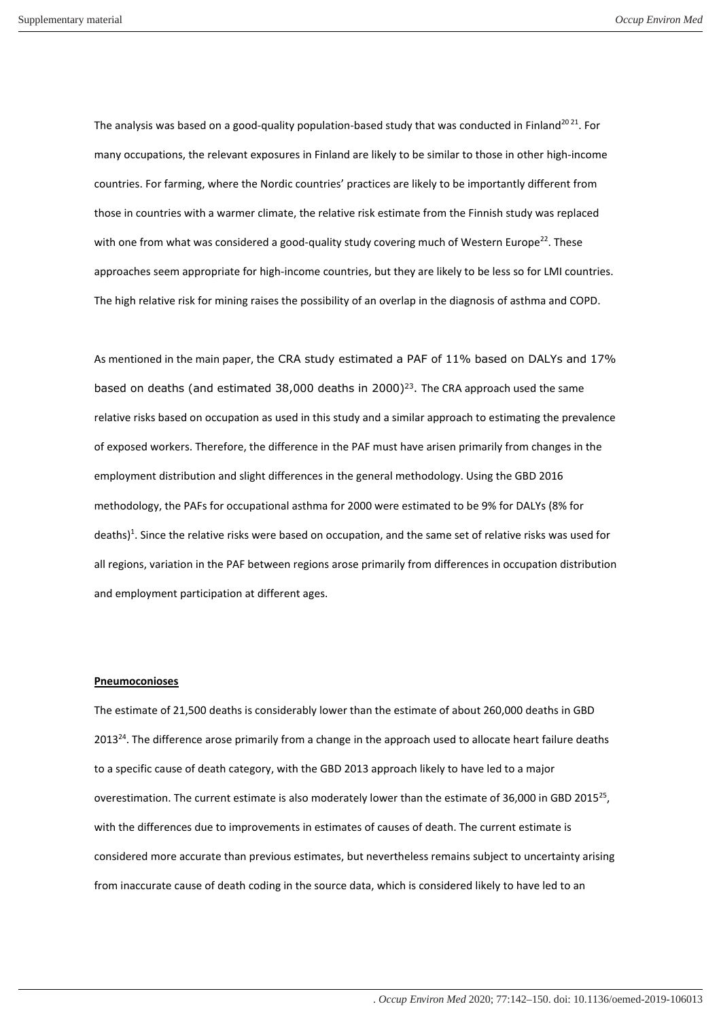The analysis was based on a good-quality population-based study that was conducted in Finland<sup>2021</sup>. For many occupations, the relevant exposures in Finland are likely to be similar to those in other high-income countries. For farming, where the Nordic countries' practices are likely to be importantly different from those in countries with a warmer climate, the relative risk estimate from the Finnish study was replaced with one from what was considered a good-quality study covering much of Western Europe<sup>22</sup>. These approaches seem appropriate for high-income countries, but they are likely to be less so for LMI countries. The high relative risk for mining raises the possibility of an overlap in the diagnosis of asthma and COPD.

As mentioned in the main paper, the CRA study estimated a PAF of 11% based on DALYs and 17% based on deaths (and estimated 38,000 deaths in 2000)<sup>23</sup>. The CRA approach used the same relative risks based on occupation as used in this study and a similar approach to estimating the prevalence of exposed workers. Therefore, the difference in the PAF must have arisen primarily from changes in the employment distribution and slight differences in the general methodology. Using the GBD 2016 methodology, the PAFs for occupational asthma for 2000 were estimated to be 9% for DALYs (8% for deaths)<sup>1</sup>. Since the relative risks were based on occupation, and the same set of relative risks was used for all regions, variation in the PAF between regions arose primarily from differences in occupation distribution and employment participation at different ages.

### **Pneumoconioses**

The estimate of 21,500 deaths is considerably lower than the estimate of about 260,000 deaths in GBD 2013<sup>24</sup>. The difference arose primarily from a change in the approach used to allocate heart failure deaths to a specific cause of death category, with the GBD 2013 approach likely to have led to a major overestimation. The current estimate is also moderately lower than the estimate of 36,000 in GBD 2015<sup>25</sup>, with the differences due to improvements in estimates of causes of death. The current estimate is considered more accurate than previous estimates, but nevertheless remains subject to uncertainty arising from inaccurate cause of death coding in the source data, which is considered likely to have led to an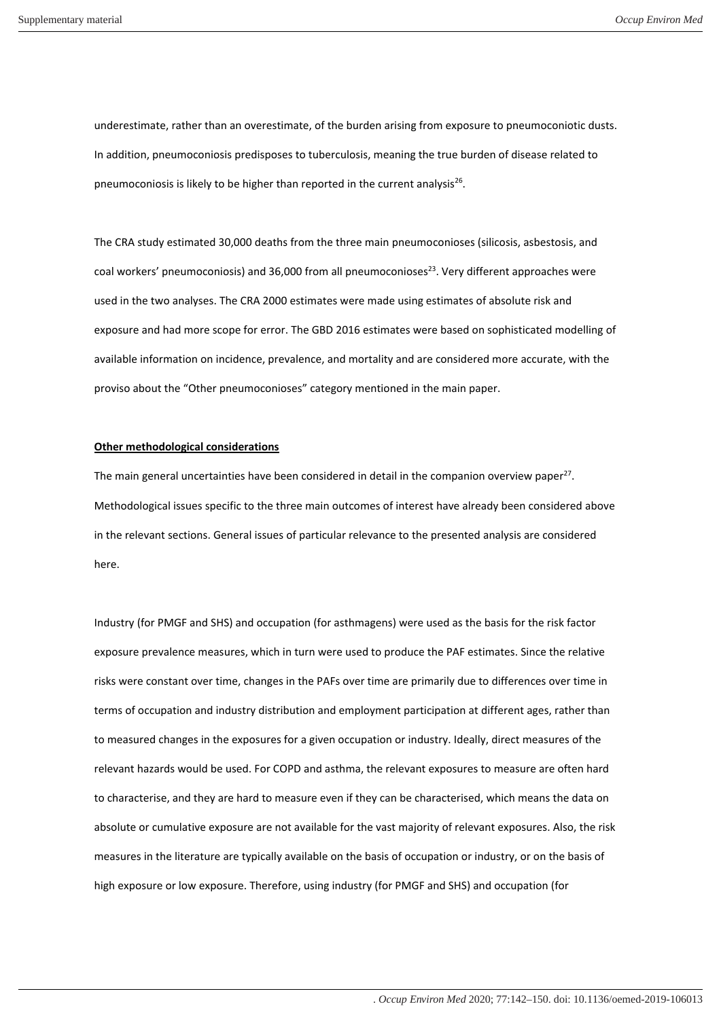underestimate, rather than an overestimate, of the burden arising from exposure to pneumoconiotic dusts. In addition, pneumoconiosis predisposes to tuberculosis, meaning the true burden of disease related to pneumoconiosis is likely to be higher than reported in the current analysis<sup>26</sup>.

The CRA study estimated 30,000 deaths from the three main pneumoconioses (silicosis, asbestosis, and coal workers' pneumoconiosis) and 36,000 from all pneumoconioses<sup>23</sup>. Very different approaches were used in the two analyses. The CRA 2000 estimates were made using estimates of absolute risk and exposure and had more scope for error. The GBD 2016 estimates were based on sophisticated modelling of available information on incidence, prevalence, and mortality and are considered more accurate, with the proviso about the "Other pneumoconioses" category mentioned in the main paper.

### **Other methodological considerations**

The main general uncertainties have been considered in detail in the companion overview paper<sup>27</sup>. Methodological issues specific to the three main outcomes of interest have already been considered above in the relevant sections. General issues of particular relevance to the presented analysis are considered here.

Industry (for PMGF and SHS) and occupation (for asthmagens) were used as the basis for the risk factor exposure prevalence measures, which in turn were used to produce the PAF estimates. Since the relative risks were constant over time, changes in the PAFs over time are primarily due to differences over time in terms of occupation and industry distribution and employment participation at different ages, rather than to measured changes in the exposures for a given occupation or industry. Ideally, direct measures of the relevant hazards would be used. For COPD and asthma, the relevant exposures to measure are often hard to characterise, and they are hard to measure even if they can be characterised, which means the data on absolute or cumulative exposure are not available for the vast majority of relevant exposures. Also, the risk measures in the literature are typically available on the basis of occupation or industry, or on the basis of high exposure or low exposure. Therefore, using industry (for PMGF and SHS) and occupation (for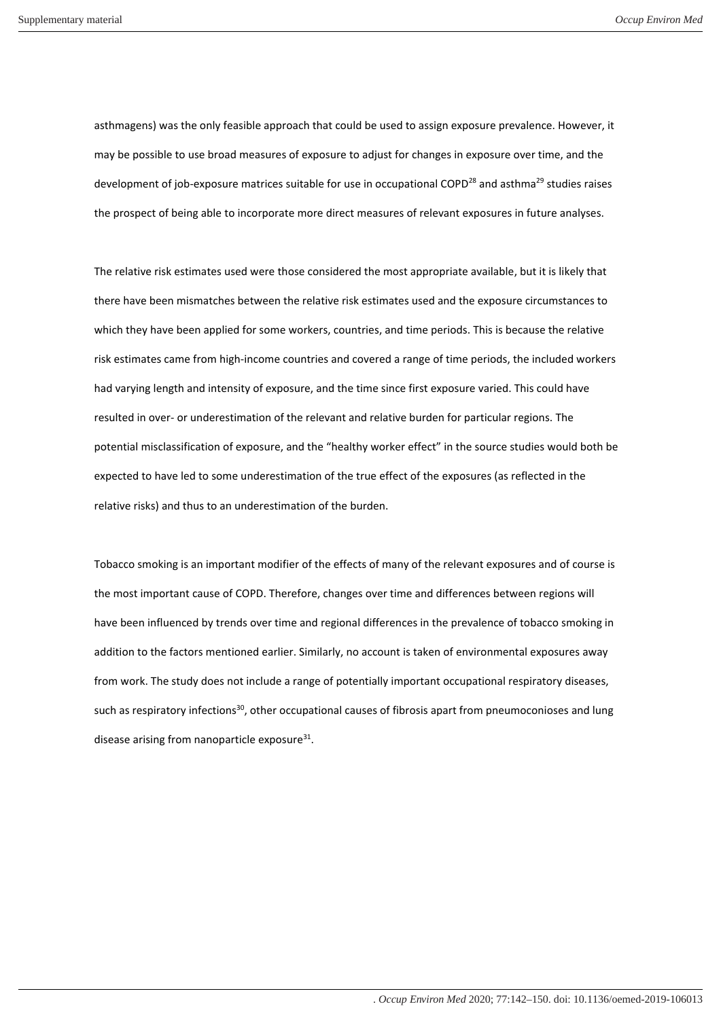asthmagens) was the only feasible approach that could be used to assign exposure prevalence. However, it may be possible to use broad measures of exposure to adjust for changes in exposure over time, and the development of job-exposure matrices suitable for use in occupational COPD<sup>28</sup> and asthma<sup>29</sup> studies raises the prospect of being able to incorporate more direct measures of relevant exposures in future analyses.

The relative risk estimates used were those considered the most appropriate available, but it is likely that there have been mismatches between the relative risk estimates used and the exposure circumstances to which they have been applied for some workers, countries, and time periods. This is because the relative risk estimates came from high-income countries and covered a range of time periods, the included workers had varying length and intensity of exposure, and the time since first exposure varied. This could have resulted in over- or underestimation of the relevant and relative burden for particular regions. The potential misclassification of exposure, and the "healthy worker effect" in the source studies would both be expected to have led to some underestimation of the true effect of the exposures (as reflected in the relative risks) and thus to an underestimation of the burden.

Tobacco smoking is an important modifier of the effects of many of the relevant exposures and of course is the most important cause of COPD. Therefore, changes over time and differences between regions will have been influenced by trends over time and regional differences in the prevalence of tobacco smoking in addition to the factors mentioned earlier. Similarly, no account is taken of environmental exposures away from work. The study does not include a range of potentially important occupational respiratory diseases, such as respiratory infections<sup>30</sup>, other occupational causes of fibrosis apart from pneumoconioses and lung disease arising from nanoparticle exposure<sup>31</sup>.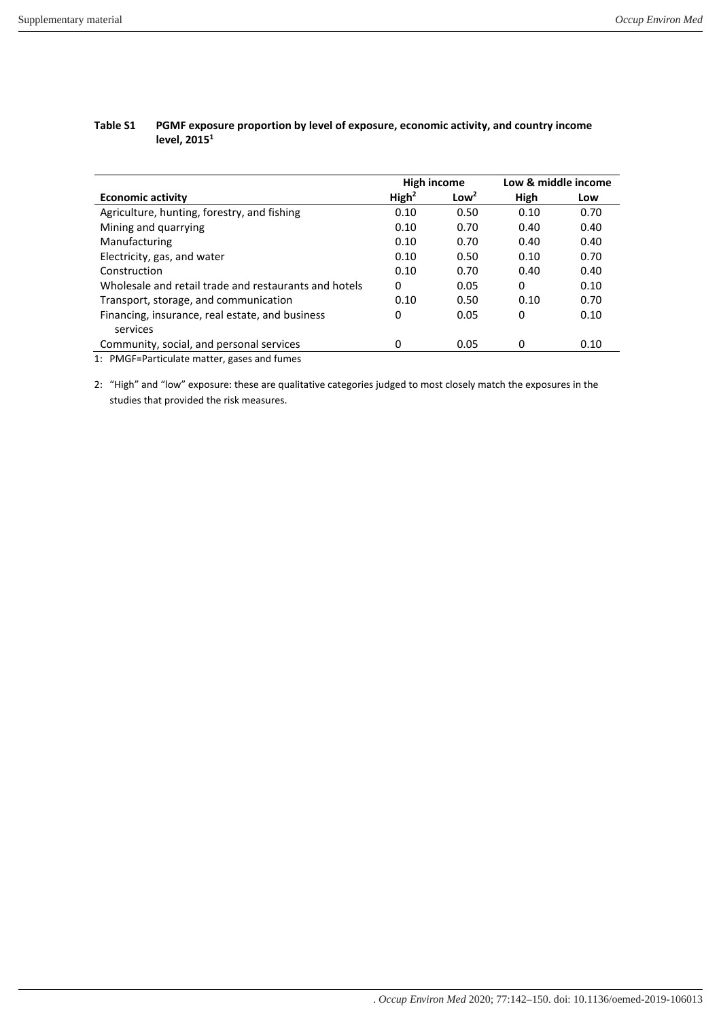| High income       |                  | Low & middle income |      |  |
|-------------------|------------------|---------------------|------|--|
| High <sup>2</sup> | Low <sup>2</sup> | High                | Low  |  |
| 0.10              | 0.50             | 0.10                | 0.70 |  |
| 0.10              | 0.70             | 0.40                | 0.40 |  |
| 0.10              | 0.70             | 0.40                | 0.40 |  |
| 0.10              | 0.50             | 0.10                | 0.70 |  |
| 0.10              | 0.70             | 0.40                | 0.40 |  |
| 0                 | 0.05             | 0                   | 0.10 |  |
| 0.10              | 0.50             | 0.10                | 0.70 |  |
| 0                 | 0.05             | 0                   | 0.10 |  |
|                   |                  |                     |      |  |
| 0                 | 0.05             | 0                   | 0.10 |  |
|                   |                  |                     |      |  |

## **Table S1 PGMF exposure proportion by level of exposure, economic activity, and country income level, 2015<sup>1</sup>**

1: PMGF=Particulate matter, gases and fumes

2: "High" and "low" exposure: these are qualitative categories judged to most closely match the exposures in the studies that provided the risk measures.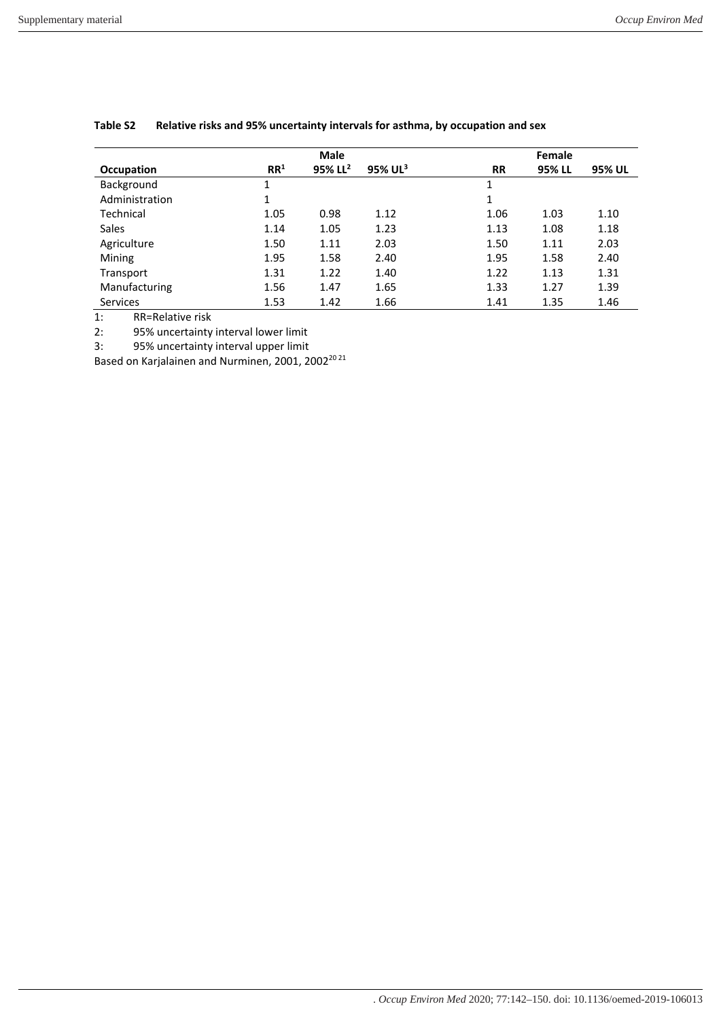|                 | <b>Male</b>     |                        |                        | Female    |        |        |  |
|-----------------|-----------------|------------------------|------------------------|-----------|--------|--------|--|
| Occupation      | RR <sup>1</sup> | $95\%$ LL <sup>2</sup> | $95\%$ UL <sup>3</sup> | <b>RR</b> | 95% LL | 95% UL |  |
| Background      | 1               |                        |                        | 1         |        |        |  |
| Administration  | 1               |                        |                        | 1         |        |        |  |
| Technical       | 1.05            | 0.98                   | 1.12                   | 1.06      | 1.03   | 1.10   |  |
| <b>Sales</b>    | 1.14            | 1.05                   | 1.23                   | 1.13      | 1.08   | 1.18   |  |
| Agriculture     | 1.50            | 1.11                   | 2.03                   | 1.50      | 1.11   | 2.03   |  |
| Mining          | 1.95            | 1.58                   | 2.40                   | 1.95      | 1.58   | 2.40   |  |
| Transport       | 1.31            | 1.22                   | 1.40                   | 1.22      | 1.13   | 1.31   |  |
| Manufacturing   | 1.56            | 1.47                   | 1.65                   | 1.33      | 1.27   | 1.39   |  |
| <b>Services</b> | 1.53            | 1.42                   | 1.66                   | 1.41      | 1.35   | 1.46   |  |

### **Table S2 Relative risks and 95% uncertainty intervals for asthma, by occupation and sex**

1: RR=Relative risk

2: 95% uncertainty interval lower limit

3: 95% uncertainty interval upper limit

Based on Karjalainen and Nurminen, 2001, 200220 21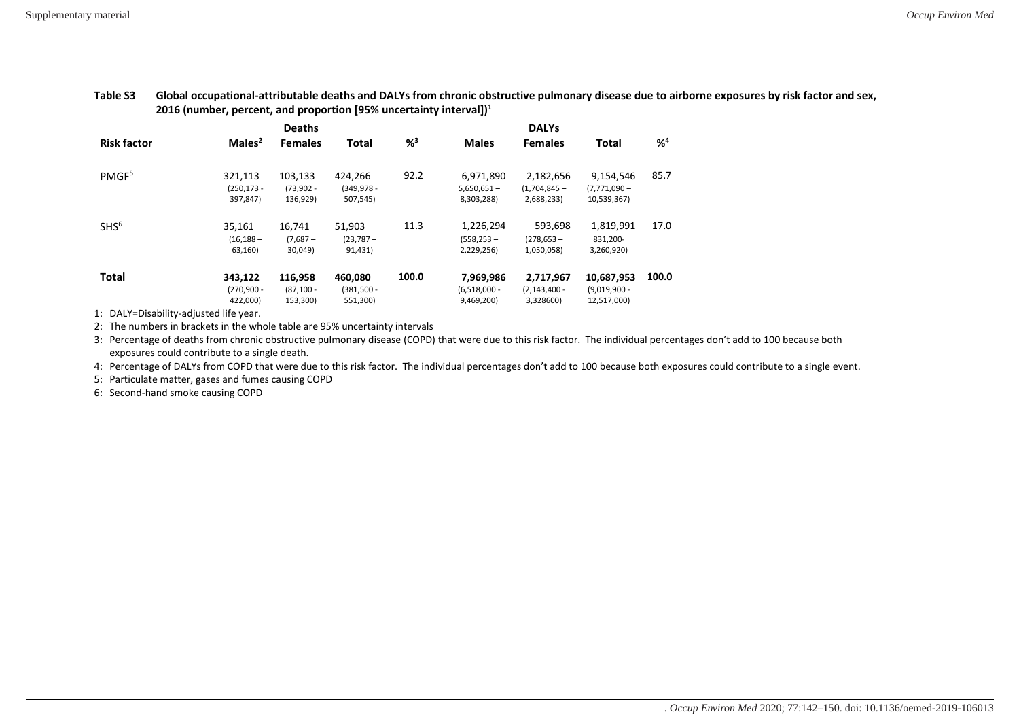|                    | . .<br><b>Deaths</b>                 |                                     |                                      |         |                                           |                                            |                                             |         |
|--------------------|--------------------------------------|-------------------------------------|--------------------------------------|---------|-------------------------------------------|--------------------------------------------|---------------------------------------------|---------|
| <b>Risk factor</b> | Males <sup>2</sup>                   | <b>Females</b>                      | <b>Total</b>                         | $%^{3}$ | <b>Males</b>                              | <b>Females</b>                             | Total                                       | $%^{4}$ |
| PMGF <sup>5</sup>  | 321,113                              | 103,133                             | 424.266                              | 92.2    | 6,971,890                                 | 2,182,656                                  | 9,154,546                                   | 85.7    |
|                    | $(250, 173 -$<br>397,847)            | $(73,902 -$<br>136,929)             | $(349, 978 -$<br>507,545)            |         | $5,650,651 -$<br>8,303,288)               | $(1,704,845 -$<br>2,688,233)               | $(7,771,090 -$<br>10,539,367)               |         |
| SHS <sup>6</sup>   | 35,161<br>$(16, 188 -$<br>63,160)    | 16,741<br>$(7,687 -$<br>30,049)     | 51,903<br>$(23, 787 -$<br>91,431)    | 11.3    | 1,226,294<br>$(558.253 -$<br>2,229,256)   | 593,698<br>$(278, 653 -$<br>1,050,058)     | 1,819,991<br>831,200-<br>3,260,920)         | 17.0    |
| <b>Total</b>       | 343,122<br>$(270, 900 -$<br>422,000) | 116,958<br>$(87, 100 -$<br>153,300) | 460,080<br>$(381, 500 -$<br>551,300) | 100.0   | 7,969,986<br>$(6,518,000 -$<br>9,469,200) | 2,717,967<br>$(2, 143, 400 -$<br>3,328600) | 10,687,953<br>$(9,019,900 -$<br>12,517,000) | 100.0   |

# **Table S3 Global occupational-attributable deaths and DALYs from chronic obstructive pulmonary disease due to airborne exposures by risk factor and sex, 2016 (number, percent, and proportion [95% uncertainty interval])<sup>1</sup>**

1: DALY=Disability-adjusted life year.

2: The numbers in brackets in the whole table are 95% uncertainty intervals

3: Percentage of deaths from chronic obstructive pulmonary disease (COPD) that were due to this risk factor. The individual percentages don't add to 100 because both exposures could contribute to a single death.

4: Percentage of DALYs from COPD that were due to this risk factor. The individual percentages don't add to 100 because both exposures could contribute to a single event.

5: Particulate matter, gases and fumes causing COPD

6: Second-hand smoke causing COPD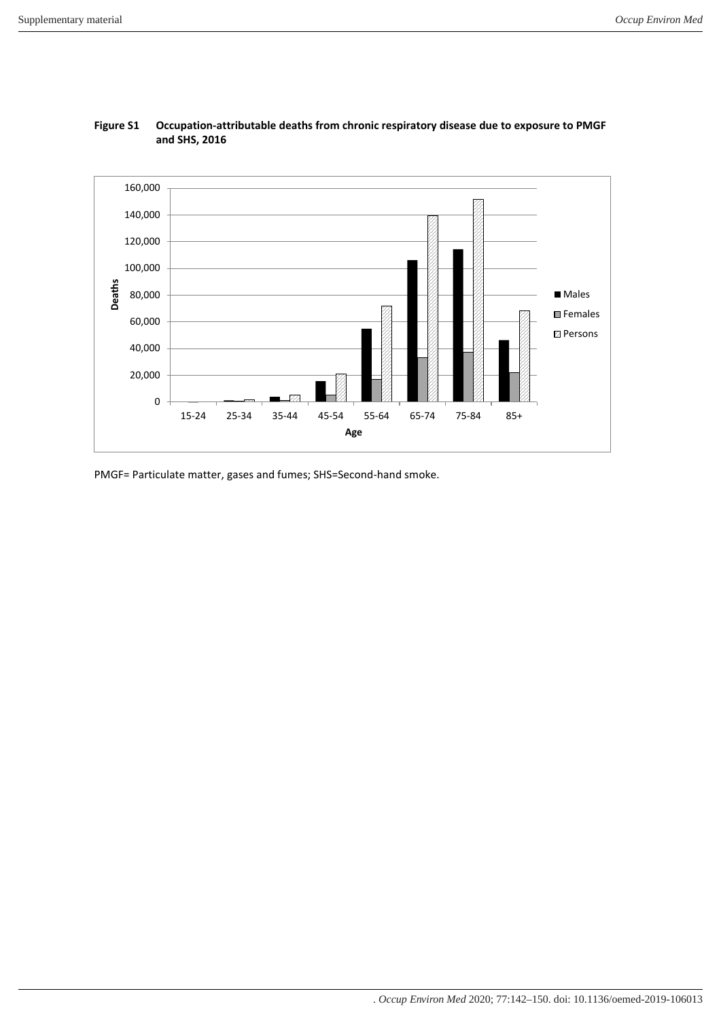

# **Figure S1 Occupation-attributable deaths from chronic respiratory disease due to exposure to PMGF and SHS, 2016**

PMGF= Particulate matter, gases and fumes; SHS=Second-hand smoke.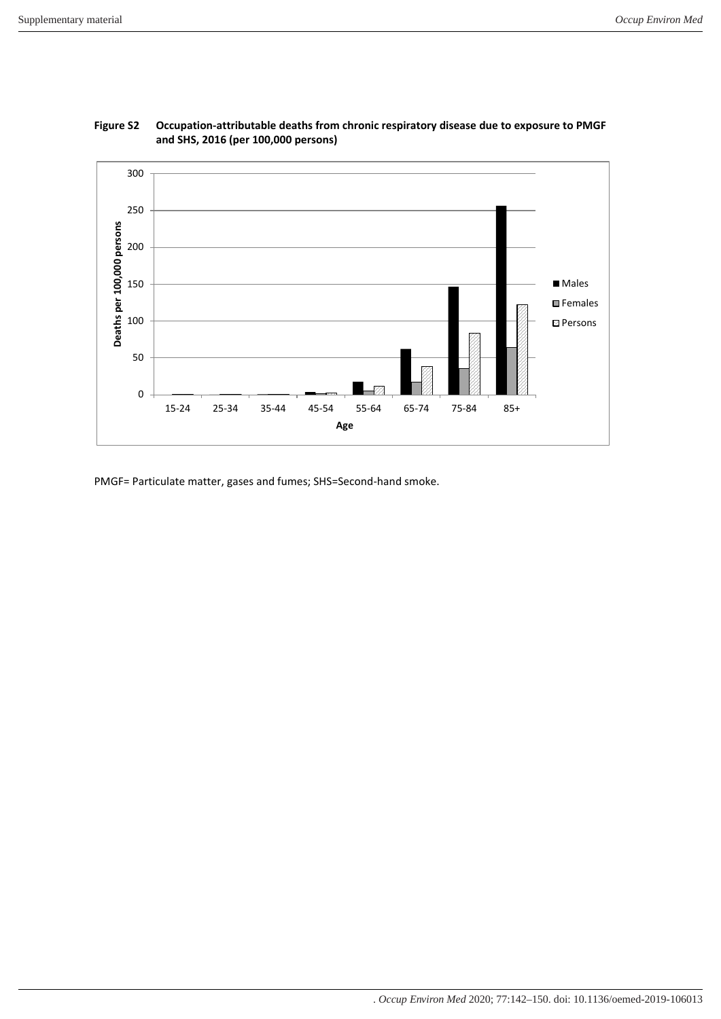



PMGF= Particulate matter, gases and fumes; SHS=Second-hand smoke.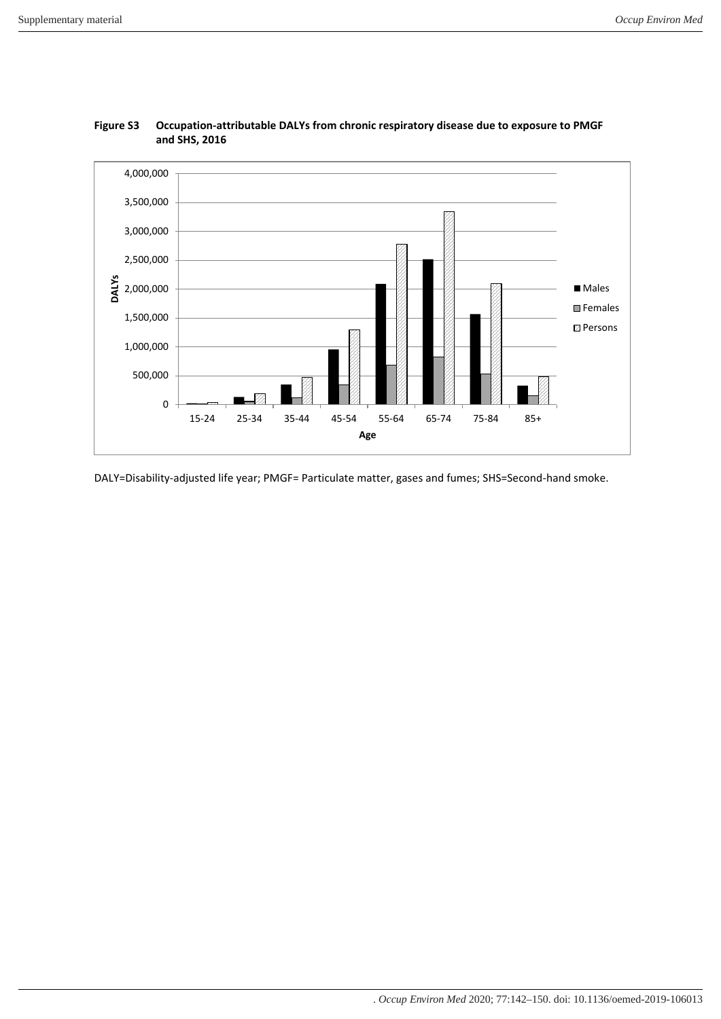

# **Figure S3 Occupation-attributable DALYs from chronic respiratory disease due to exposure to PMGF and SHS, 2016**

DALY=Disability-adjusted life year; PMGF= Particulate matter, gases and fumes; SHS=Second-hand smoke.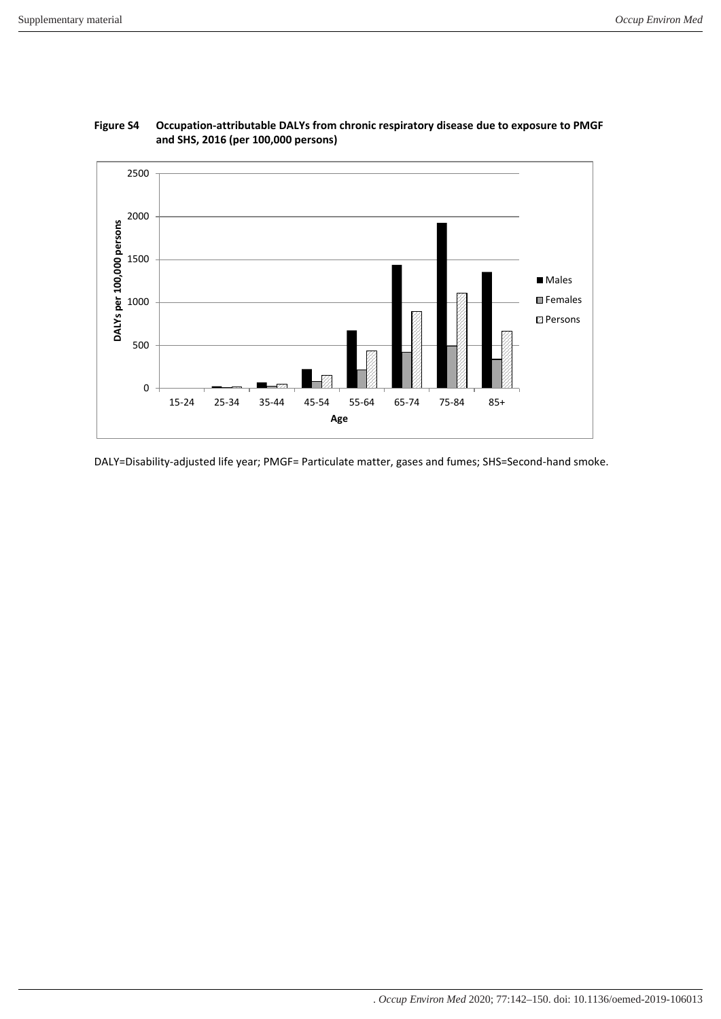![](_page_13_Figure_2.jpeg)

# **Figure S4 Occupation-attributable DALYs from chronic respiratory disease due to exposure to PMGF and SHS, 2016 (per 100,000 persons)**

DALY=Disability-adjusted life year; PMGF= Particulate matter, gases and fumes; SHS=Second-hand smoke.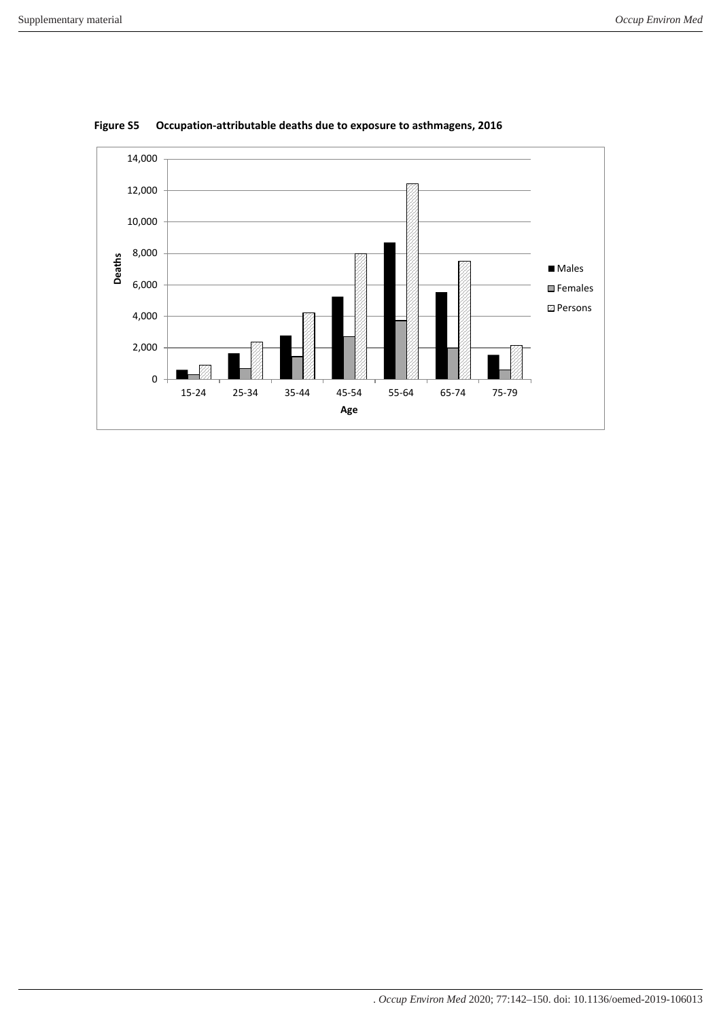![](_page_14_Figure_2.jpeg)

**Figure S5 Occupation-attributable deaths due to exposure to asthmagens, 2016**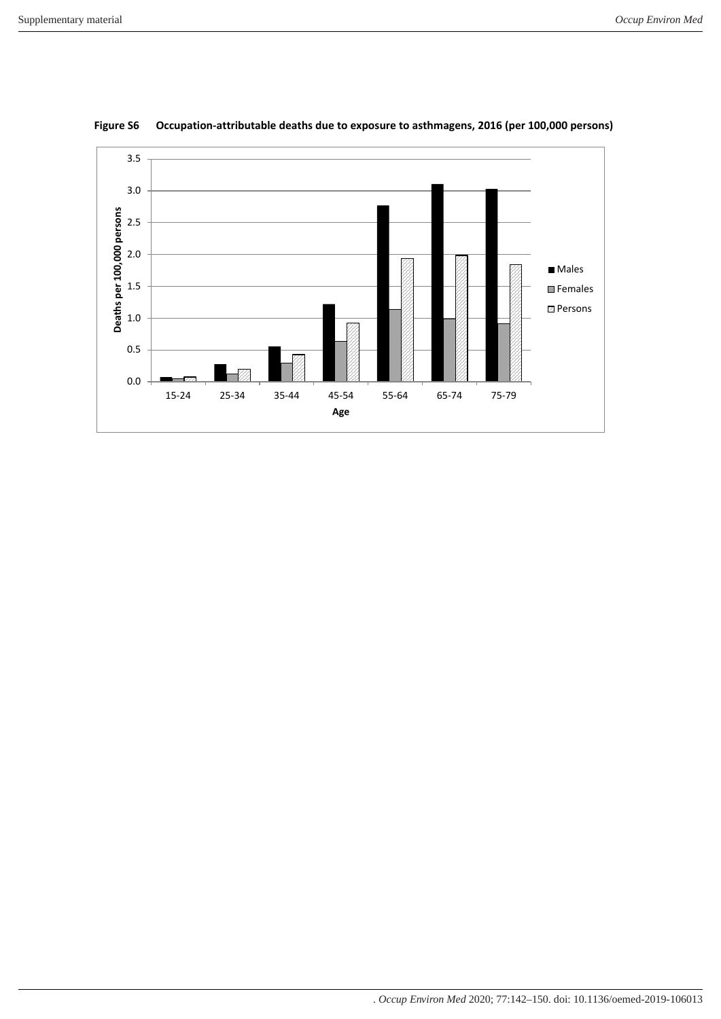![](_page_15_Figure_2.jpeg)

**Figure S6 Occupation-attributable deaths due to exposure to asthmagens, 2016 (per 100,000 persons)**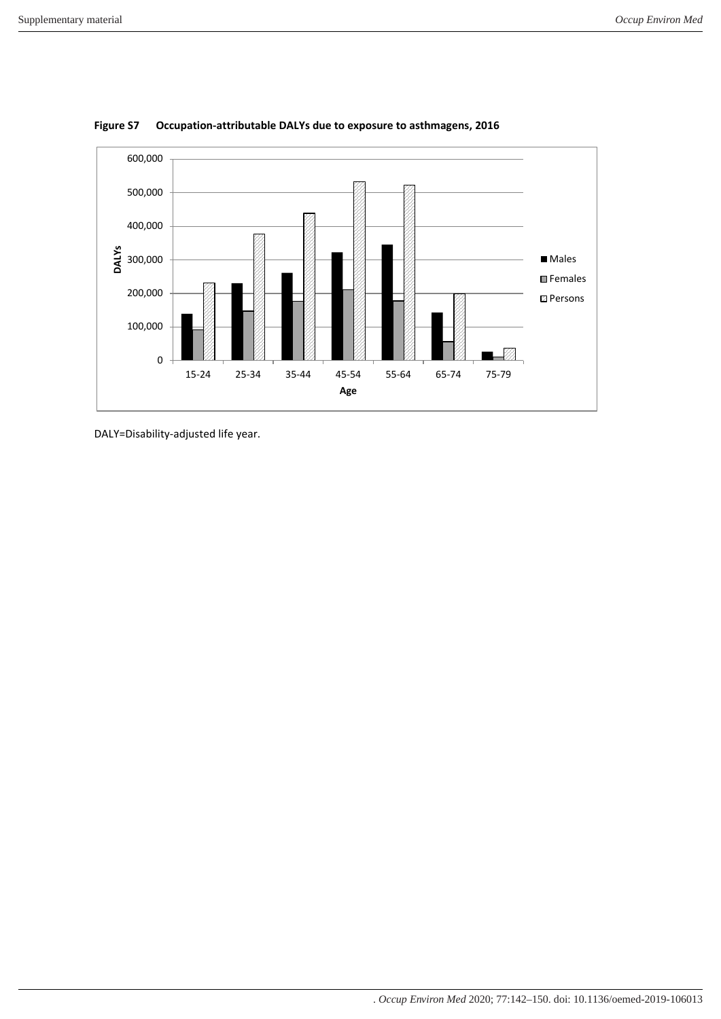![](_page_16_Figure_2.jpeg)

**Figure S7 Occupation-attributable DALYs due to exposure to asthmagens, 2016**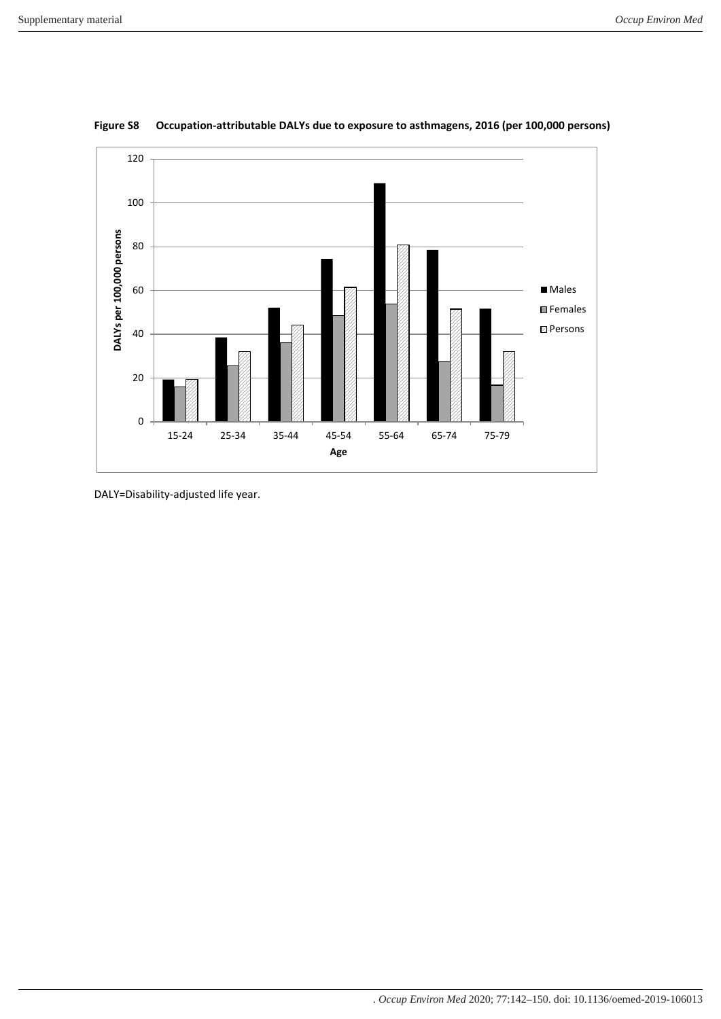![](_page_17_Figure_2.jpeg)

**Figure S8 Occupation-attributable DALYs due to exposure to asthmagens, 2016 (per 100,000 persons)**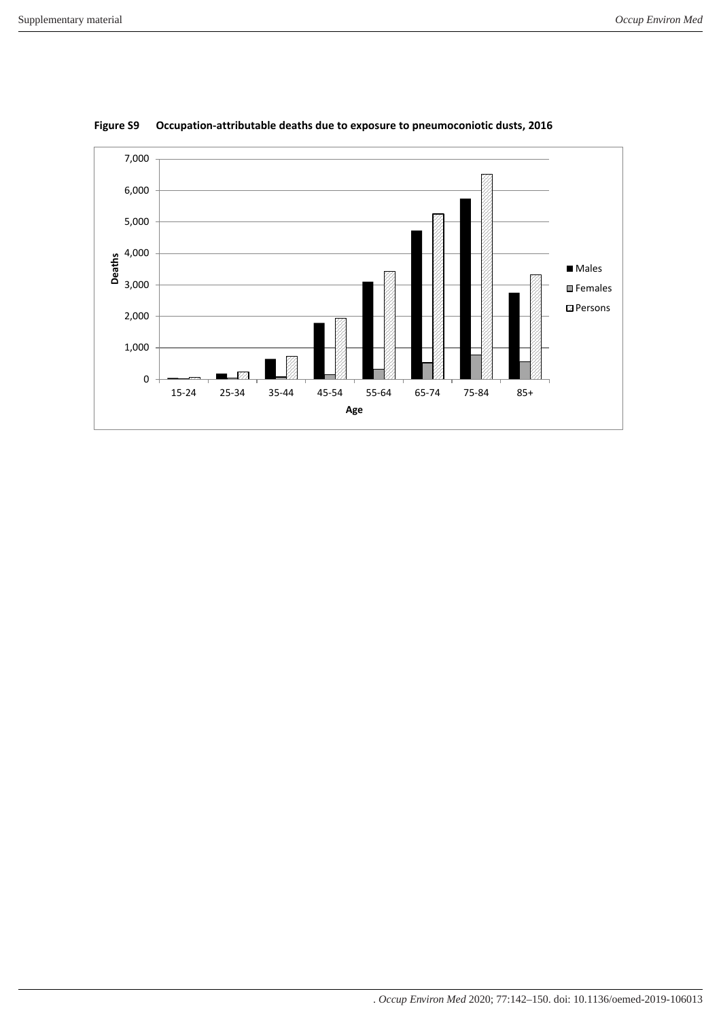![](_page_18_Figure_2.jpeg)

**Figure S9 Occupation-attributable deaths due to exposure to pneumoconiotic dusts, 2016**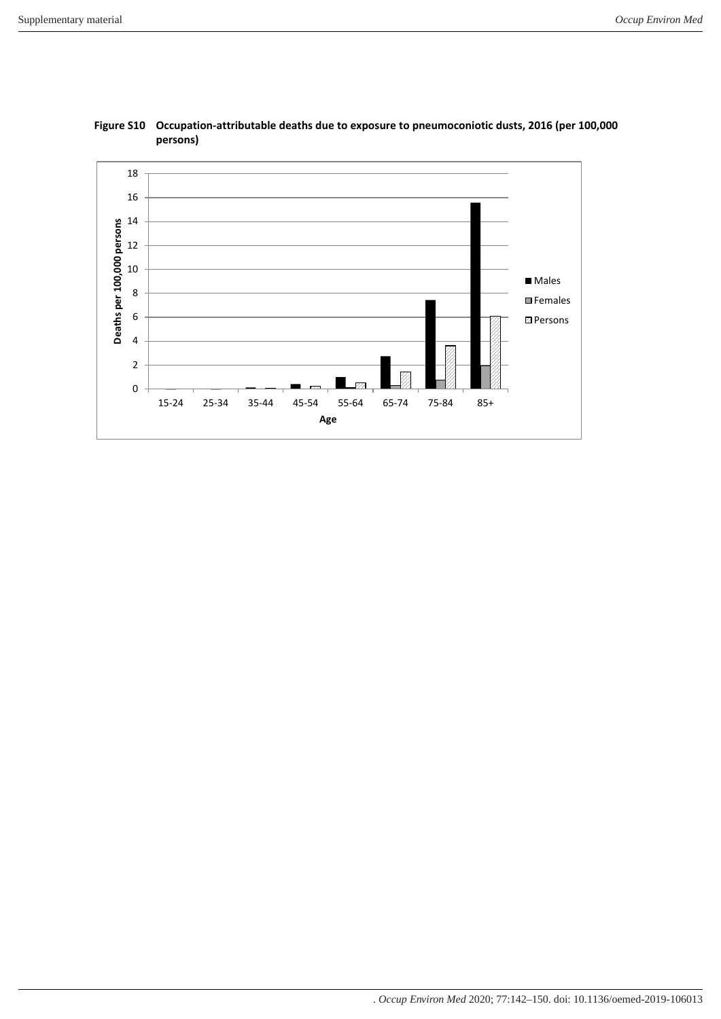![](_page_19_Figure_2.jpeg)

![](_page_19_Figure_3.jpeg)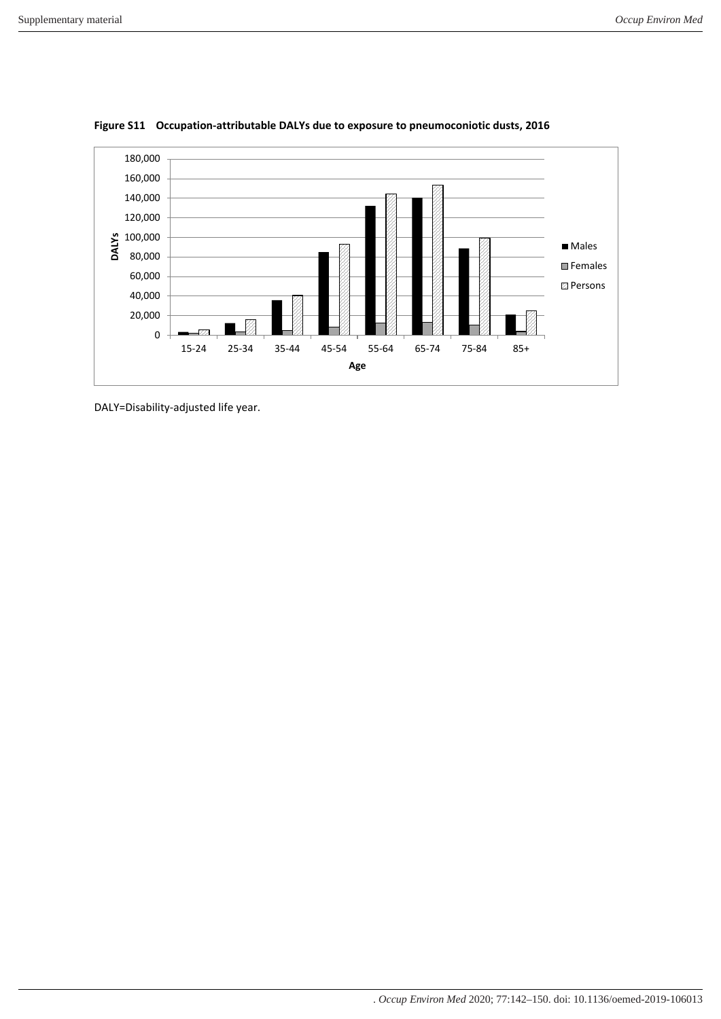![](_page_20_Figure_2.jpeg)

**Figure S11 Occupation-attributable DALYs due to exposure to pneumoconiotic dusts, 2016**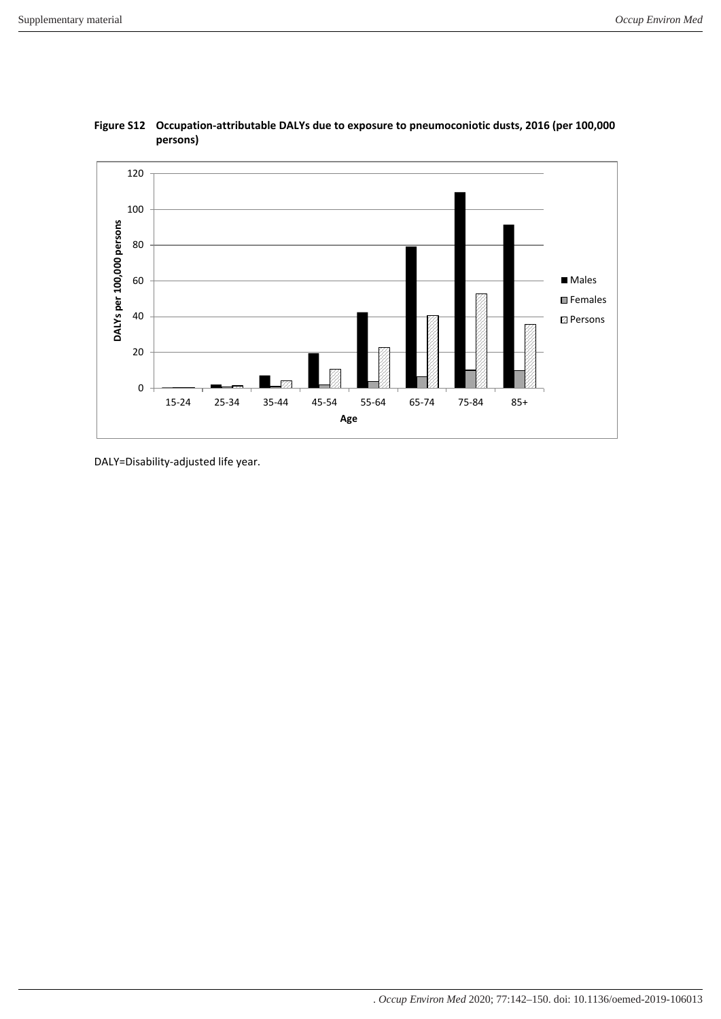![](_page_21_Figure_2.jpeg)

![](_page_21_Figure_3.jpeg)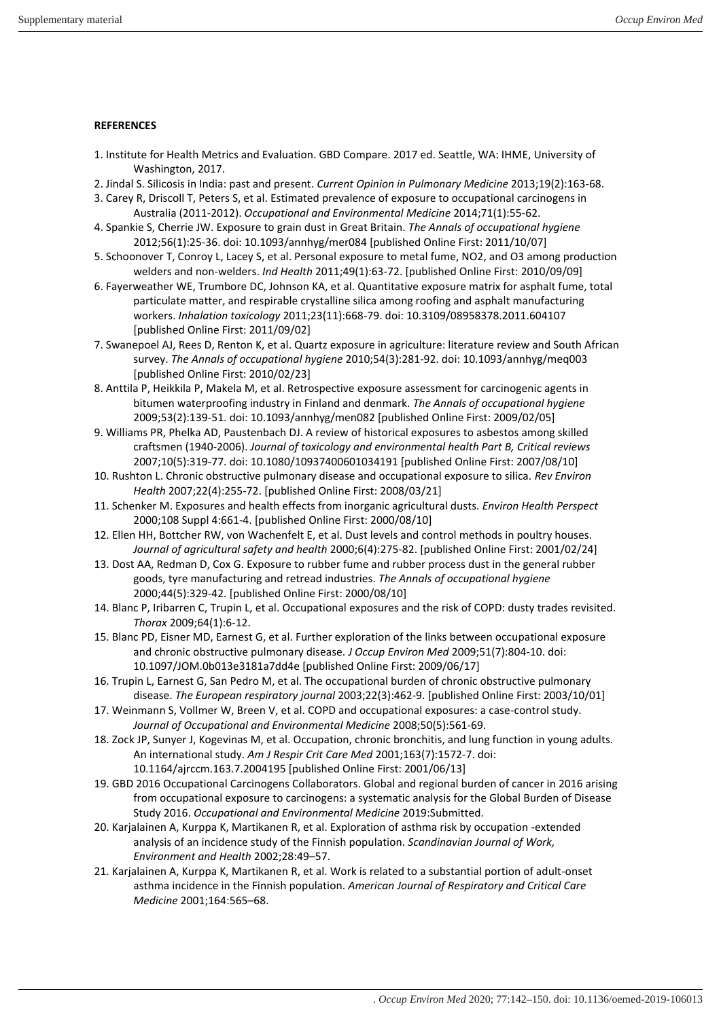### **REFERENCES**

- 1. Institute for Health Metrics and Evaluation. GBD Compare. 2017 ed. Seattle, WA: IHME, University of Washington, 2017.
- 2. Jindal S. Silicosis in India: past and present. *Current Opinion in Pulmonary Medicine* 2013;19(2):163-68.
- 3. Carey R, Driscoll T, Peters S, et al. Estimated prevalence of exposure to occupational carcinogens in Australia (2011-2012). *Occupational and Environmental Medicine* 2014;71(1):55-62.
- 4. Spankie S, Cherrie JW. Exposure to grain dust in Great Britain. *The Annals of occupational hygiene* 2012;56(1):25-36. doi: 10.1093/annhyg/mer084 [published Online First: 2011/10/07]
- 5. Schoonover T, Conroy L, Lacey S, et al. Personal exposure to metal fume, NO2, and O3 among production welders and non-welders. *Ind Health* 2011;49(1):63-72. [published Online First: 2010/09/09]
- 6. Fayerweather WE, Trumbore DC, Johnson KA, et al. Quantitative exposure matrix for asphalt fume, total particulate matter, and respirable crystalline silica among roofing and asphalt manufacturing workers. *Inhalation toxicology* 2011;23(11):668-79. doi: 10.3109/08958378.2011.604107 [published Online First: 2011/09/02]
- 7. Swanepoel AJ, Rees D, Renton K, et al. Quartz exposure in agriculture: literature review and South African survey. *The Annals of occupational hygiene* 2010;54(3):281-92. doi: 10.1093/annhyg/meq003 [published Online First: 2010/02/23]
- 8. Anttila P, Heikkila P, Makela M, et al. Retrospective exposure assessment for carcinogenic agents in bitumen waterproofing industry in Finland and denmark. *The Annals of occupational hygiene* 2009;53(2):139-51. doi: 10.1093/annhyg/men082 [published Online First: 2009/02/05]
- 9. Williams PR, Phelka AD, Paustenbach DJ. A review of historical exposures to asbestos among skilled craftsmen (1940-2006). *Journal of toxicology and environmental health Part B, Critical reviews* 2007;10(5):319-77. doi: 10.1080/10937400601034191 [published Online First: 2007/08/10]
- 10. Rushton L. Chronic obstructive pulmonary disease and occupational exposure to silica. *Rev Environ Health* 2007;22(4):255-72. [published Online First: 2008/03/21]
- 11. Schenker M. Exposures and health effects from inorganic agricultural dusts. *Environ Health Perspect* 2000;108 Suppl 4:661-4. [published Online First: 2000/08/10]
- 12. Ellen HH, Bottcher RW, von Wachenfelt E, et al. Dust levels and control methods in poultry houses. *Journal of agricultural safety and health* 2000;6(4):275-82. [published Online First: 2001/02/24]
- 13. Dost AA, Redman D, Cox G. Exposure to rubber fume and rubber process dust in the general rubber goods, tyre manufacturing and retread industries. *The Annals of occupational hygiene* 2000;44(5):329-42. [published Online First: 2000/08/10]
- 14. Blanc P, Iribarren C, Trupin L, et al. Occupational exposures and the risk of COPD: dusty trades revisited. *Thorax* 2009;64(1):6-12.
- 15. Blanc PD, Eisner MD, Earnest G, et al. Further exploration of the links between occupational exposure and chronic obstructive pulmonary disease. *J Occup Environ Med* 2009;51(7):804-10. doi: 10.1097/JOM.0b013e3181a7dd4e [published Online First: 2009/06/17]
- 16. Trupin L, Earnest G, San Pedro M, et al. The occupational burden of chronic obstructive pulmonary disease. *The European respiratory journal* 2003;22(3):462-9. [published Online First: 2003/10/01]
- 17. Weinmann S, Vollmer W, Breen V, et al. COPD and occupational exposures: a case-control study. *Journal of Occupational and Environmental Medicine* 2008;50(5):561-69.
- 18. Zock JP, Sunyer J, Kogevinas M, et al. Occupation, chronic bronchitis, and lung function in young adults. An international study. *Am J Respir Crit Care Med* 2001;163(7):1572-7. doi: 10.1164/ajrccm.163.7.2004195 [published Online First: 2001/06/13]
- 19. GBD 2016 Occupational Carcinogens Collaborators. Global and regional burden of cancer in 2016 arising from occupational exposure to carcinogens: a systematic analysis for the Global Burden of Disease Study 2016. *Occupational and Environmental Medicine* 2019:Submitted.
- 20. Karjalainen A, Kurppa K, Martikanen R, et al. Exploration of asthma risk by occupation -extended analysis of an incidence study of the Finnish population. *Scandinavian Journal of Work, Environment and Health* 2002;28:49–57.
- 21. Karjalainen A, Kurppa K, Martikanen R, et al. Work is related to a substantial portion of adult-onset asthma incidence in the Finnish population. *American Journal of Respiratory and Critical Care Medicine* 2001;164:565–68.